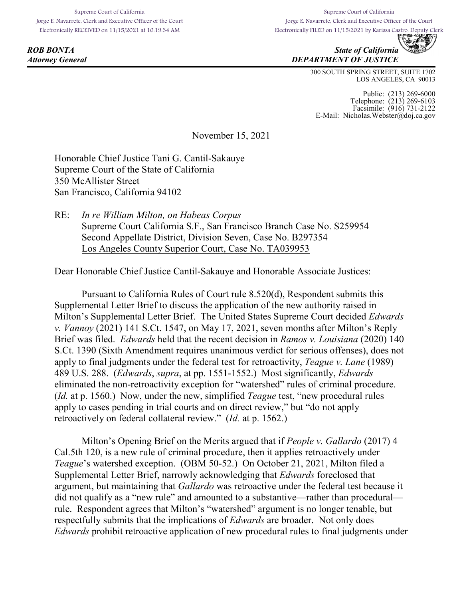Supreme Court of California Jorge E. Navarrete, Clerk and Executive Officer of the Court Electronically RECEIVED on 11/15/2021 at 10:19:34 AM

Supreme Court of California Jorge E. Navarrete, Clerk and Executive Officer of the Court Electronically FILED on 11/15/2021 by Karissa Castro, Deputy Clerk<br>Electronically FILED on 11/15/2021 by Karissa Castro, Deputy Clerk



**ROB BONTA** State of California *Attorney General DEPARTMENT OF JUSTICE*

> 300 SOUTH SPRING STREET, SUITE 1702 LOS ANGELES, CA 90013

Public: (213) 269-6000 Telephone: (213) 269-6103 Facsimile: (916) 731-2122 E-Mail: Nicholas.Webster@doj.ca.gov

November 15, 2021

Honorable Chief Justice Tani G. Cantil-Sakauye Supreme Court of the State of California 350 McAllister Street San Francisco, California 94102

RE: *In re William Milton, on Habeas Corpus* Supreme Court California S.F., San Francisco Branch Case No. S259954 Second Appellate District, Division Seven, Case No. B297354 Los Angeles County Superior Court, Case No. TA039953

Dear Honorable Chief Justice Cantil-Sakauye and Honorable Associate Justices:

Pursuant to California Rules of Court rule 8.520(d), Respondent submits this Supplemental Letter Brief to discuss the application of the new authority raised in Milton's Supplemental Letter Brief. The United States Supreme Court decided *Edwards v. Vannoy* (2021) 141 S.Ct. 1547, on May 17, 2021, seven months after Milton's Reply Brief was filed. *Edwards* held that the recent decision in *Ramos v. Louisiana* (2020) 140 S.Ct. 1390 (Sixth Amendment requires unanimous verdict for serious offenses), does not apply to final judgments under the federal test for retroactivity, *Teague v. Lane* (1989) 489 U.S. 288. (*Edwards*, *supra*, at pp. 1551-1552.) Most significantly, *Edwards* eliminated the non-retroactivity exception for "watershed" rules of criminal procedure. (*Id.* at p. 1560.) Now, under the new, simplified *Teague* test, "new procedural rules apply to cases pending in trial courts and on direct review," but "do not apply retroactively on federal collateral review." (*Id.* at p. 1562.)

Milton's Opening Brief on the Merits argued that if *People v. Gallardo* (2017) 4 Cal.5th 120, is a new rule of criminal procedure, then it applies retroactively under *Teague*'s watershed exception. (OBM 50-52.) On October 21, 2021, Milton filed a Supplemental Letter Brief, narrowly acknowledging that *Edwards* foreclosed that argument, but maintaining that *Gallardo* was retroactive under the federal test because it did not qualify as a "new rule" and amounted to a substantive—rather than procedural rule. Respondent agrees that Milton's "watershed" argument is no longer tenable, but respectfully submits that the implications of *Edwards* are broader. Not only does *Edwards* prohibit retroactive application of new procedural rules to final judgments under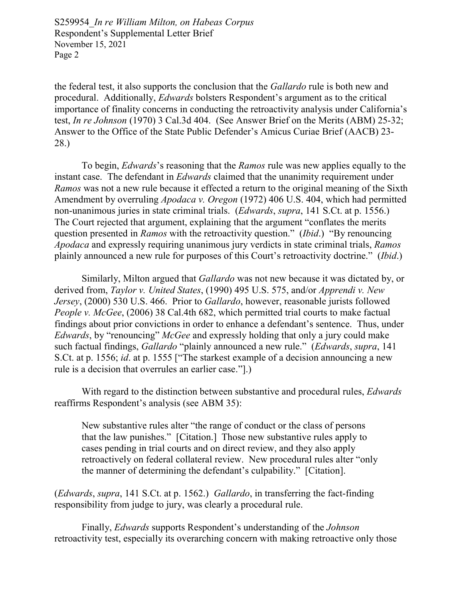S259954*\_In re William Milton, on Habeas Corpus* Respondent's Supplemental Letter Brief November 15, 2021 Page 2

the federal test, it also supports the conclusion that the *Gallardo* rule is both new and procedural. Additionally, *Edwards* bolsters Respondent's argument as to the critical importance of finality concerns in conducting the retroactivity analysis under California's test, *In re Johnson* (1970) 3 Cal.3d 404. (See Answer Brief on the Merits (ABM) 25-32; Answer to the Office of the State Public Defender's Amicus Curiae Brief (AACB) 23- 28.)

To begin, *Edwards*'s reasoning that the *Ramos* rule was new applies equally to the instant case. The defendant in *Edwards* claimed that the unanimity requirement under *Ramos* was not a new rule because it effected a return to the original meaning of the Sixth Amendment by overruling *Apodaca v. Oregon* (1972) 406 U.S. 404, which had permitted non-unanimous juries in state criminal trials. (*Edwards*, *supra*, 141 S.Ct. at p. 1556.) The Court rejected that argument, explaining that the argument "conflates the merits question presented in *Ramos* with the retroactivity question." (*Ibid*.) "By renouncing *Apodaca* and expressly requiring unanimous jury verdicts in state criminal trials, *Ramos* plainly announced a new rule for purposes of this Court's retroactivity doctrine." (*Ibid*.)

Similarly, Milton argued that *Gallardo* was not new because it was dictated by, or derived from, *Taylor v. United States*, (1990) 495 U.S. 575, and/or *Apprendi v. New Jersey*, (2000) 530 U.S. 466. Prior to *Gallardo*, however, reasonable jurists followed *People v. McGee*, (2006) 38 Cal.4th 682, which permitted trial courts to make factual findings about prior convictions in order to enhance a defendant's sentence. Thus, under *Edwards*, by "renouncing" *McGee* and expressly holding that only a jury could make such factual findings, *Gallardo* "plainly announced a new rule." (*Edwards*, *supra*, 141 S.Ct. at p. 1556; *id*. at p. 1555 ["The starkest example of a decision announcing a new rule is a decision that overrules an earlier case."].)

With regard to the distinction between substantive and procedural rules, *Edwards* reaffirms Respondent's analysis (see ABM 35):

New substantive rules alter "the range of conduct or the class of persons that the law punishes." [Citation.] Those new substantive rules apply to cases pending in trial courts and on direct review, and they also apply retroactively on federal collateral review. New procedural rules alter "only the manner of determining the defendant's culpability." [Citation].

(*Edwards*, *supra*, 141 S.Ct. at p. 1562.) *Gallardo*, in transferring the fact-finding responsibility from judge to jury, was clearly a procedural rule.

Finally, *Edwards* supports Respondent's understanding of the *Johnson* retroactivity test, especially its overarching concern with making retroactive only those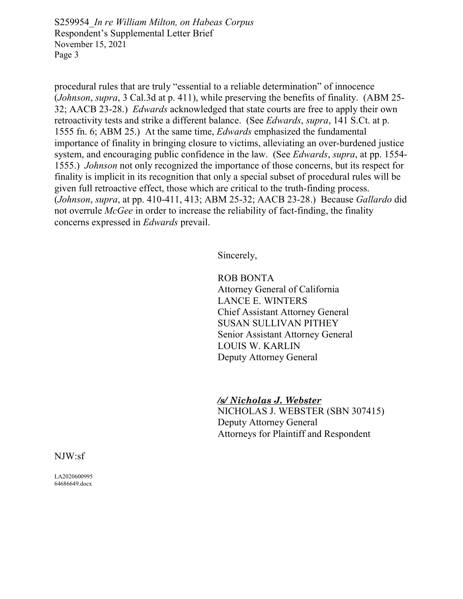S259954*\_In re William Milton, on Habeas Corpus* Respondent's Supplemental Letter Brief November 15, 2021 Page 3

procedural rules that are truly "essential to a reliable determination" of innocence (*Johnson*, *supra*, 3 Cal.3d at p. 411), while preserving the benefits of finality. (ABM 25- 32; AACB 23-28.) *Edwards* acknowledged that state courts are free to apply their own retroactivity tests and strike a different balance. (See *Edwards*, *supra*, 141 S.Ct. at p. 1555 fn. 6; ABM 25.) At the same time, *Edwards* emphasized the fundamental importance of finality in bringing closure to victims, alleviating an over-burdened justice system, and encouraging public confidence in the law. (See *Edwards*, *supra*, at pp. 1554- 1555.) *Johnson* not only recognized the importance of those concerns, but its respect for finality is implicit in its recognition that only a special subset of procedural rules will be given full retroactive effect, those which are critical to the truth-finding process. (*Johnson*, *supra*, at pp. 410-411, 413; ABM 25-32; AACB 23-28.) Because *Gallardo* did not overrule *McGee* in order to increase the reliability of fact-finding, the finality concerns expressed in *Edwards* prevail.

Sincerely,

ROB BONTA Attorney General of California LANCE E. WINTERS Chief Assistant Attorney General SUSAN SULLIVAN PITHEY Senior Assistant Attorney General LOUIS W. KARLIN Deputy Attorney General

*/s/ Nicholas J. Webster* NICHOLAS J. WEBSTER (SBN 307415) Deputy Attorney General Attorneys for Plaintiff and Respondent

NJW:sf

LA2020600995 64686649.docx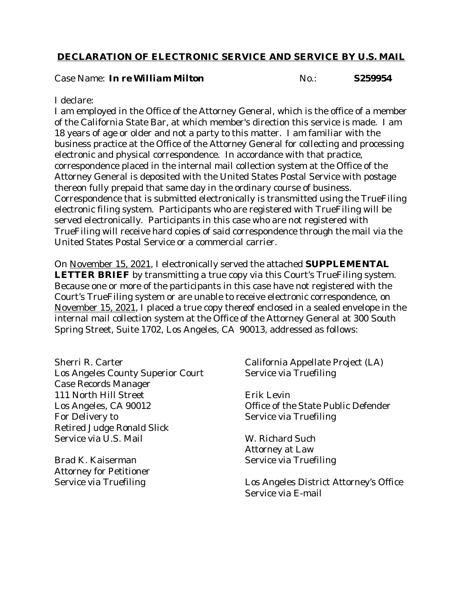## **DECLARATION OF ELECTRONIC SERVICE AND SERVICE BY U.S. MAIL**

Case Name: *In re William Milton* **No.: No.:** S259954

### I declare:

I am employed in the Office of the Attorney General, which is the office of a member of the California State Bar, at which member's direction this service is made. I am 18 years of age or older and not a party to this matter. I am familiar with the business practice at the Office of the Attorney General for collecting and processing electronic and physical correspondence. In accordance with that practice, correspondence placed in the internal mail collection system at the Office of the Attorney General is deposited with the United States Postal Service with postage thereon fully prepaid that same day in the ordinary course of business. Correspondence that is submitted electronically is transmitted using the TrueFiling electronic filing system. Participants who are registered with TrueFiling will be served electronically. Participants in this case who are not registered with TrueFiling will receive hard copies of said correspondence through the mail via the United States Postal Service or a commercial carrier.

On November 15, 2021, I electronically served the attached **SUPPLEMENTAL LETTER BRIEF** by transmitting a true copy via this Court's TrueFiling system. Because one or more of the participants in this case have not registered with the Court's TrueFiling system or are unable to receive electronic correspondence, on November 15, 2021, I placed a true copy thereof enclosed in a sealed envelope in the internal mail collection system at the Office of the Attorney General at 300 South Spring Street, Suite 1702, Los Angeles, CA 90013, addressed as follows:

Sherri R. Carter Los Angeles County Superior Court Case Records Manager 111 North Hill Street Los Angeles, CA 90012 For Delivery to Retired Judge Ronald Slick Service via U.S. Mail

Brad K. Kaiserman Attorney for Petitioner Service via Truefiling

California Appellate Project (LA) Service via Truefiling

Erik Levin Office of the State Public Defender Service via Truefiling

W. Richard Such Attorney at Law Service via Truefiling

Los Angeles District Attorney's Office Service via E-mail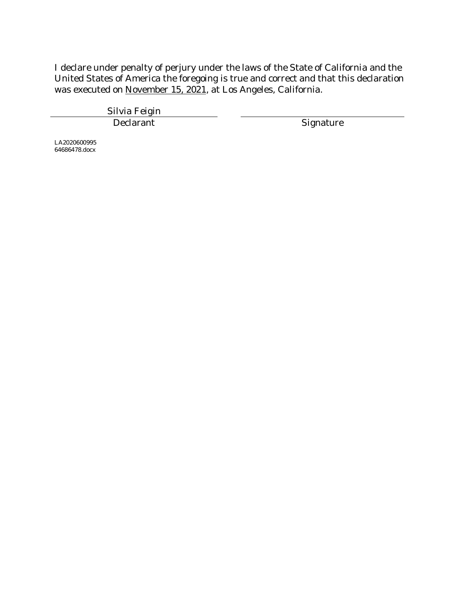I declare under penalty of perjury under the laws of the State of California and the United States of America the foregoing is true and correct and that this declaration was executed on November 15, 2021, at Los Angeles, California.

> Silvia Feigin Declarant Signature

LA2020600995 64686478.docx